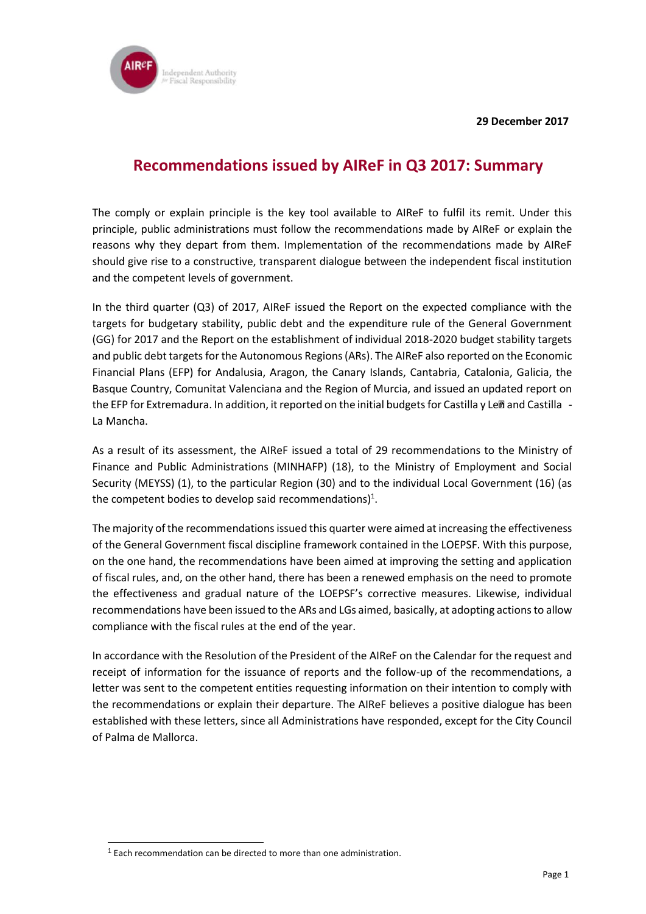**29 December 2017**



# **Recommendations issued by AIReF in Q3 2017: Summary**

The comply or explain principle is the key tool available to AIReF to fulfil its remit. Under this principle, public administrations must follow the recommendations made by AIReF or explain the reasons why they depart from them. Implementation of the recommendations made by AIReF should give rise to a constructive, transparent dialogue between the independent fiscal institution and the competent levels of government.

In the third quarter (Q3) of 2017, AIReF issued the Report on the expected compliance with the targets for budgetary stability, public debt and the expenditure rule of the General Government (GG) for 2017 and the Report on the establishment of individual 2018-2020 budget stability targets and public debt targets for the Autonomous Regions (ARs). The AIReF also reported on the Economic Financial Plans (EFP) for Andalusia, Aragon, the Canary Islands, Cantabria, Catalonia, Galicia, the Basque Country, Comunitat Valenciana and the Region of Murcia, and issued an updated report on the EFP for Extremadura. In addition, it reported on the initial budgets for Castilla y Leó and Castilla -La Mancha.

As a result of its assessment, the AIReF issued a total of 29 recommendations to the Ministry of Finance and Public Administrations (MINHAFP) (18), to the Ministry of Employment and Social Security (MEYSS) (1), to the particular Region (30) and to the individual Local Government (16) (as the competent bodies to develop said recommendations)<sup>1</sup>.

The majority of the recommendations issued this quarter were aimed at increasing the effectiveness of the General Government fiscal discipline framework contained in the LOEPSF. With this purpose, on the one hand, the recommendations have been aimed at improving the setting and application of fiscal rules, and, on the other hand, there has been a renewed emphasis on the need to promote the effectiveness and gradual nature of the LOEPSF's corrective measures. Likewise, individual recommendations have been issued to the ARs and LGs aimed, basically, at adopting actions to allow compliance with the fiscal rules at the end of the year.

In accordance with the Resolution of the President of the AIReF on the Calendar for the request and receipt of information for the issuance of reports and the follow-up of the recommendations, a letter was sent to the competent entities requesting information on their intention to comply with the recommendations or explain their departure. The AIReF believes a positive dialogue has been established with these letters, since all Administrations have responded, except for the City Council of Palma de Mallorca.

 $\overline{a}$ 

 $1$  Each recommendation can be directed to more than one administration.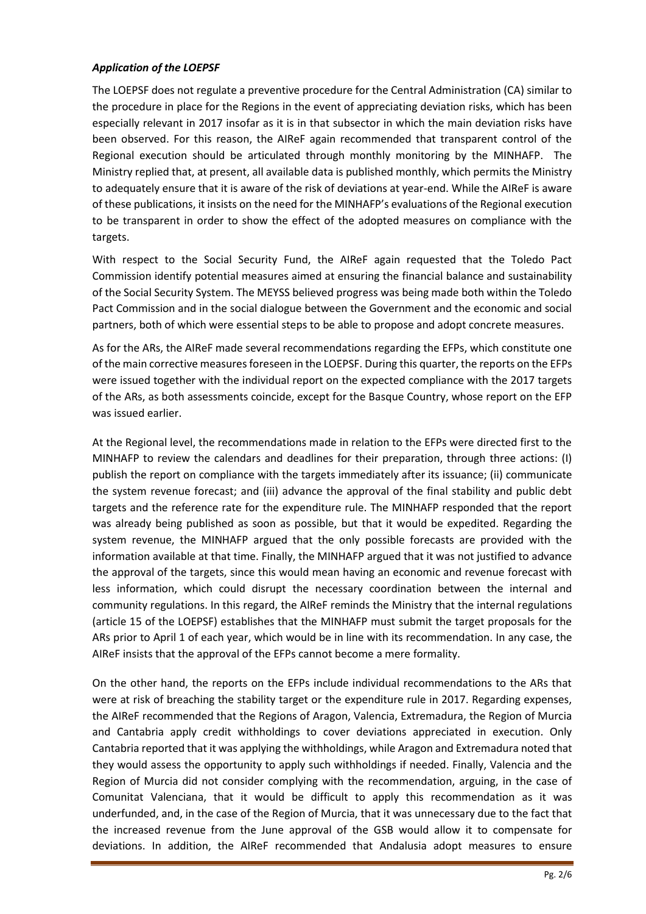### *Application of the LOEPSF*

The LOEPSF does not regulate a preventive procedure for the Central Administration (CA) similar to the procedure in place for the Regions in the event of appreciating deviation risks, which has been especially relevant in 2017 insofar as it is in that subsector in which the main deviation risks have been observed. For this reason, the AIReF again recommended that transparent control of the Regional execution should be articulated through monthly monitoring by the MINHAFP. The Ministry replied that, at present, all available data is published monthly, which permits the Ministry to adequately ensure that it is aware of the risk of deviations at year-end. While the AIReF is aware of these publications, it insists on the need for the MINHAFP's evaluations of the Regional execution to be transparent in order to show the effect of the adopted measures on compliance with the targets.

With respect to the Social Security Fund, the AIReF again requested that the Toledo Pact Commission identify potential measures aimed at ensuring the financial balance and sustainability of the Social Security System. The MEYSS believed progress was being made both within the Toledo Pact Commission and in the social dialogue between the Government and the economic and social partners, both of which were essential steps to be able to propose and adopt concrete measures.

As for the ARs, the AIReF made several recommendations regarding the EFPs, which constitute one of the main corrective measures foreseen in the LOEPSF. During this quarter, the reports on the EFPs were issued together with the individual report on the expected compliance with the 2017 targets of the ARs, as both assessments coincide, except for the Basque Country, whose report on the EFP was issued earlier.

At the Regional level, the recommendations made in relation to the EFPs were directed first to the MINHAFP to review the calendars and deadlines for their preparation, through three actions: (I) publish the report on compliance with the targets immediately after its issuance; (ii) communicate the system revenue forecast; and (iii) advance the approval of the final stability and public debt targets and the reference rate for the expenditure rule. The MINHAFP responded that the report was already being published as soon as possible, but that it would be expedited. Regarding the system revenue, the MINHAFP argued that the only possible forecasts are provided with the information available at that time. Finally, the MINHAFP argued that it was not justified to advance the approval of the targets, since this would mean having an economic and revenue forecast with less information, which could disrupt the necessary coordination between the internal and community regulations. In this regard, the AIReF reminds the Ministry that the internal regulations (article 15 of the LOEPSF) establishes that the MINHAFP must submit the target proposals for the ARs prior to April 1 of each year, which would be in line with its recommendation. In any case, the AIReF insists that the approval of the EFPs cannot become a mere formality.

On the other hand, the reports on the EFPs include individual recommendations to the ARs that were at risk of breaching the stability target or the expenditure rule in 2017. Regarding expenses, the AIReF recommended that the Regions of Aragon, Valencia, Extremadura, the Region of Murcia and Cantabria apply credit withholdings to cover deviations appreciated in execution. Only Cantabria reported that it was applying the withholdings, while Aragon and Extremadura noted that they would assess the opportunity to apply such withholdings if needed. Finally, Valencia and the Region of Murcia did not consider complying with the recommendation, arguing, in the case of Comunitat Valenciana, that it would be difficult to apply this recommendation as it was underfunded, and, in the case of the Region of Murcia, that it was unnecessary due to the fact that the increased revenue from the June approval of the GSB would allow it to compensate for deviations. In addition, the AIReF recommended that Andalusia adopt measures to ensure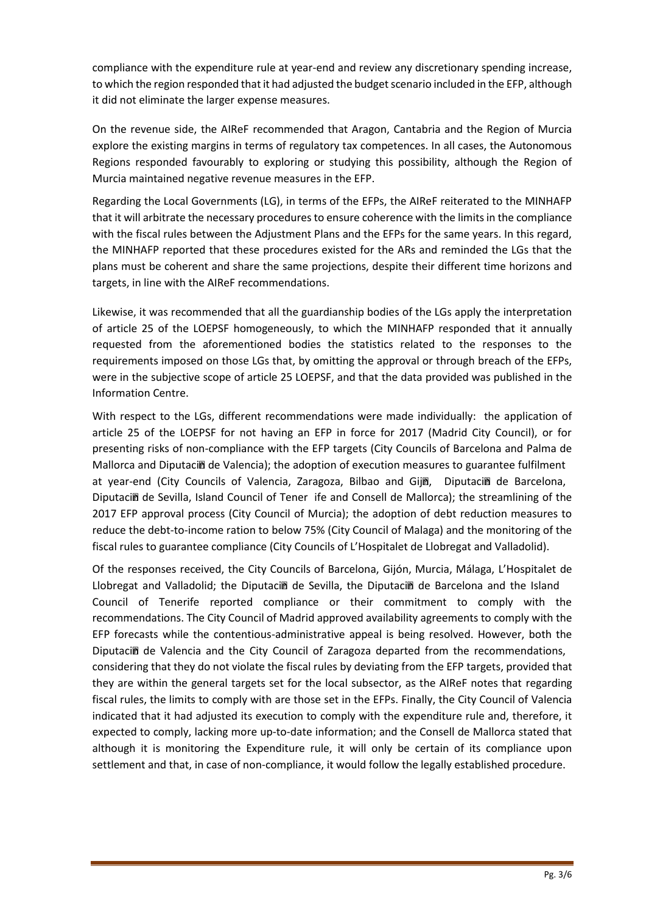compliance with the expenditure rule at year-end and review any discretionary spending increase, to which the region responded that it had adjusted the budget scenario included in the EFP, although it did not eliminate the larger expense measures.

On the revenue side, the AIReF recommended that Aragon, Cantabria and the Region of Murcia explore the existing margins in terms of regulatory tax competences. In all cases, the Autonomous Regions responded favourably to exploring or studying this possibility, although the Region of Murcia maintained negative revenue measures in the EFP.

Regarding the Local Governments (LG), in terms of the EFPs, the AIReF reiterated to the MINHAFP that it will arbitrate the necessary procedures to ensure coherence with the limits in the compliance with the fiscal rules between the Adjustment Plans and the EFPs for the same years. In this regard, the MINHAFP reported that these procedures existed for the ARs and reminded the LGs that the plans must be coherent and share the same projections, despite their different time horizons and targets, in line with the AIReF recommendations.

Likewise, it was recommended that all the guardianship bodies of the LGs apply the interpretation of article 25 of the LOEPSF homogeneously, to which the MINHAFP responded that it annually requested from the aforementioned bodies the statistics related to the responses to the requirements imposed on those LGs that, by omitting the approval or through breach of the EFPs, were in the subjective scope of article 25 LOEPSF, and that the data provided was published in the Information Centre.

With respect to the LGs, different recommendations were made individually: the application of article 25 of the LOEPSF for not having an EFP in force for 2017 (Madrid City Council), or for presenting risks of non-compliance with the EFP targets (City Councils of Barcelona and Palma de Mallorca and Diputació de Valencia); the adoption of execution measures to guarantee fulfilment at year-end (City Councils of Valencia, Zaragoza, Bilbao and Gijó, Diputació de Barcelona, Diputació de Sevilla, Island Council of Tener ife and Consell de Mallorca); the streamlining of the 2017 EFP approval process (City Council of Murcia); the adoption of debt reduction measures to reduce the debt-to-income ration to below 75% (City Council of Malaga) and the monitoring of the fiscal rules to guarantee compliance (City Councils of L'Hospitalet de Llobregat and Valladolid).

Of the responses received, the City Councils of Barcelona, Gijón, Murcia, Málaga, L'Hospitalet de Llobregat and Valladolid; the Diputació de Sevilla, the Diputació de Barcelona and the Island Council of Tenerife reported compliance or their commitment to comply with the recommendations. The City Council of Madrid approved availability agreements to comply with the EFP forecasts while the contentious-administrative appeal is being resolved. However, both the Diputació de Valencia and the City Council of Zaragoza departed from the recommendations, considering that they do not violate the fiscal rules by deviating from the EFP targets, provided that they are within the general targets set for the local subsector, as the AIReF notes that regarding fiscal rules, the limits to comply with are those set in the EFPs. Finally, the City Council of Valencia indicated that it had adjusted its execution to comply with the expenditure rule and, therefore, it expected to comply, lacking more up-to-date information; and the Consell de Mallorca stated that although it is monitoring the Expenditure rule, it will only be certain of its compliance upon settlement and that, in case of non-compliance, it would follow the legally established procedure.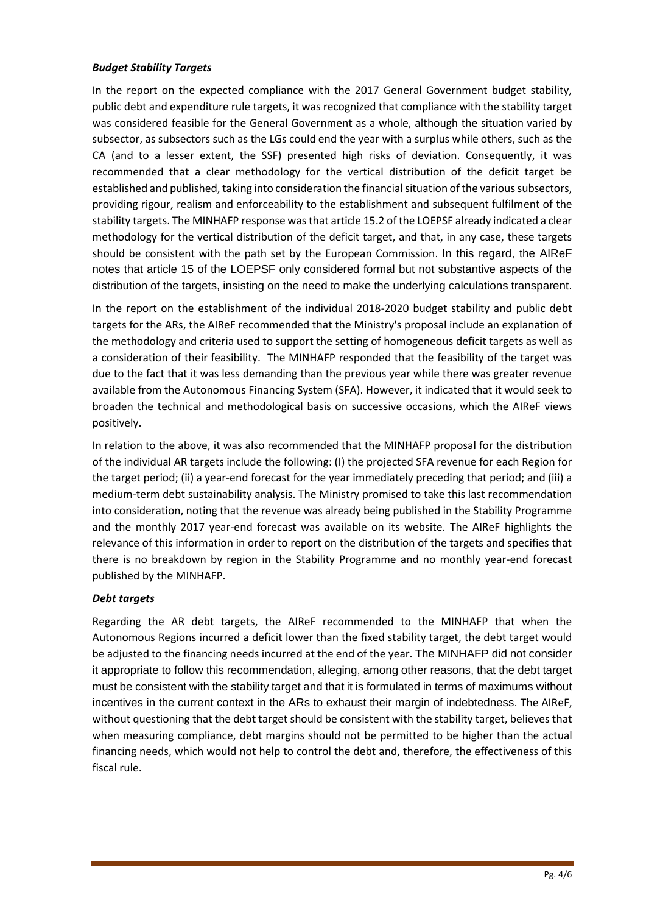#### *Budget Stability Targets*

In the report on the expected compliance with the 2017 General Government budget stability, public debt and expenditure rule targets, it was recognized that compliance with the stability target was considered feasible for the General Government as a whole, although the situation varied by subsector, as subsectors such as the LGs could end the year with a surplus while others, such as the CA (and to a lesser extent, the SSF) presented high risks of deviation. Consequently, it was recommended that a clear methodology for the vertical distribution of the deficit target be established and published, taking into consideration the financial situation of the various subsectors, providing rigour, realism and enforceability to the establishment and subsequent fulfilment of the stability targets. The MINHAFP response was that article 15.2 of the LOEPSF already indicated a clear methodology for the vertical distribution of the deficit target, and that, in any case, these targets should be consistent with the path set by the European Commission. In this regard, the AIReF notes that article 15 of the LOEPSF only considered formal but not substantive aspects of the distribution of the targets, insisting on the need to make the underlying calculations transparent.

In the report on the establishment of the individual 2018-2020 budget stability and public debt targets for the ARs, the AIReF recommended that the Ministry's proposal include an explanation of the methodology and criteria used to support the setting of homogeneous deficit targets as well as a consideration of their feasibility. The MINHAFP responded that the feasibility of the target was due to the fact that it was less demanding than the previous year while there was greater revenue available from the Autonomous Financing System (SFA). However, it indicated that it would seek to broaden the technical and methodological basis on successive occasions, which the AIReF views positively.

In relation to the above, it was also recommended that the MINHAFP proposal for the distribution of the individual AR targets include the following: (I) the projected SFA revenue for each Region for the target period; (ii) a year-end forecast for the year immediately preceding that period; and (iii) a medium-term debt sustainability analysis. The Ministry promised to take this last recommendation into consideration, noting that the revenue was already being published in the Stability Programme and the monthly 2017 year-end forecast was available on its website. The AIReF highlights the relevance of this information in order to report on the distribution of the targets and specifies that there is no breakdown by region in the Stability Programme and no monthly year-end forecast published by the MINHAFP.

## *Debt targets*

Regarding the AR debt targets, the AIReF recommended to the MINHAFP that when the Autonomous Regions incurred a deficit lower than the fixed stability target, the debt target would be adjusted to the financing needs incurred at the end of the year. The MINHAFP did not consider it appropriate to follow this recommendation, alleging, among other reasons, that the debt target must be consistent with the stability target and that it is formulated in terms of maximums without incentives in the current context in the ARs to exhaust their margin of indebtedness. The AIReF, without questioning that the debt target should be consistent with the stability target, believes that when measuring compliance, debt margins should not be permitted to be higher than the actual financing needs, which would not help to control the debt and, therefore, the effectiveness of this fiscal rule.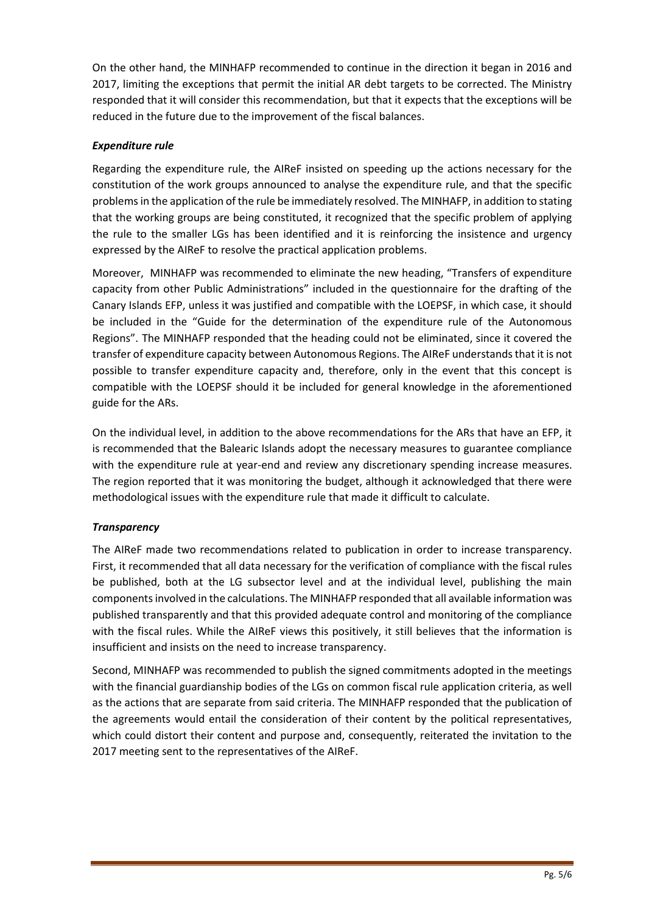On the other hand, the MINHAFP recommended to continue in the direction it began in 2016 and 2017, limiting the exceptions that permit the initial AR debt targets to be corrected. The Ministry responded that it will consider this recommendation, but that it expects that the exceptions will be reduced in the future due to the improvement of the fiscal balances.

## *Expenditure rule*

Regarding the expenditure rule, the AIReF insisted on speeding up the actions necessary for the constitution of the work groups announced to analyse the expenditure rule, and that the specific problems in the application of the rule be immediately resolved. The MINHAFP, in addition to stating that the working groups are being constituted, it recognized that the specific problem of applying the rule to the smaller LGs has been identified and it is reinforcing the insistence and urgency expressed by the AIReF to resolve the practical application problems.

Moreover, MINHAFP was recommended to eliminate the new heading, "Transfers of expenditure capacity from other Public Administrations" included in the questionnaire for the drafting of the Canary Islands EFP, unless it was justified and compatible with the LOEPSF, in which case, it should be included in the "Guide for the determination of the expenditure rule of the Autonomous Regions". The MINHAFP responded that the heading could not be eliminated, since it covered the transfer of expenditure capacity between Autonomous Regions. The AIReF understands that it is not possible to transfer expenditure capacity and, therefore, only in the event that this concept is compatible with the LOEPSF should it be included for general knowledge in the aforementioned guide for the ARs.

On the individual level, in addition to the above recommendations for the ARs that have an EFP, it is recommended that the Balearic Islands adopt the necessary measures to guarantee compliance with the expenditure rule at year-end and review any discretionary spending increase measures. The region reported that it was monitoring the budget, although it acknowledged that there were methodological issues with the expenditure rule that made it difficult to calculate.

# *Transparency*

The AIReF made two recommendations related to publication in order to increase transparency. First, it recommended that all data necessary for the verification of compliance with the fiscal rules be published, both at the LG subsector level and at the individual level, publishing the main components involved in the calculations. The MINHAFP responded that all available information was published transparently and that this provided adequate control and monitoring of the compliance with the fiscal rules. While the AIReF views this positively, it still believes that the information is insufficient and insists on the need to increase transparency.

Second, MINHAFP was recommended to publish the signed commitments adopted in the meetings with the financial guardianship bodies of the LGs on common fiscal rule application criteria, as well as the actions that are separate from said criteria. The MINHAFP responded that the publication of the agreements would entail the consideration of their content by the political representatives, which could distort their content and purpose and, consequently, reiterated the invitation to the 2017 meeting sent to the representatives of the AIReF.